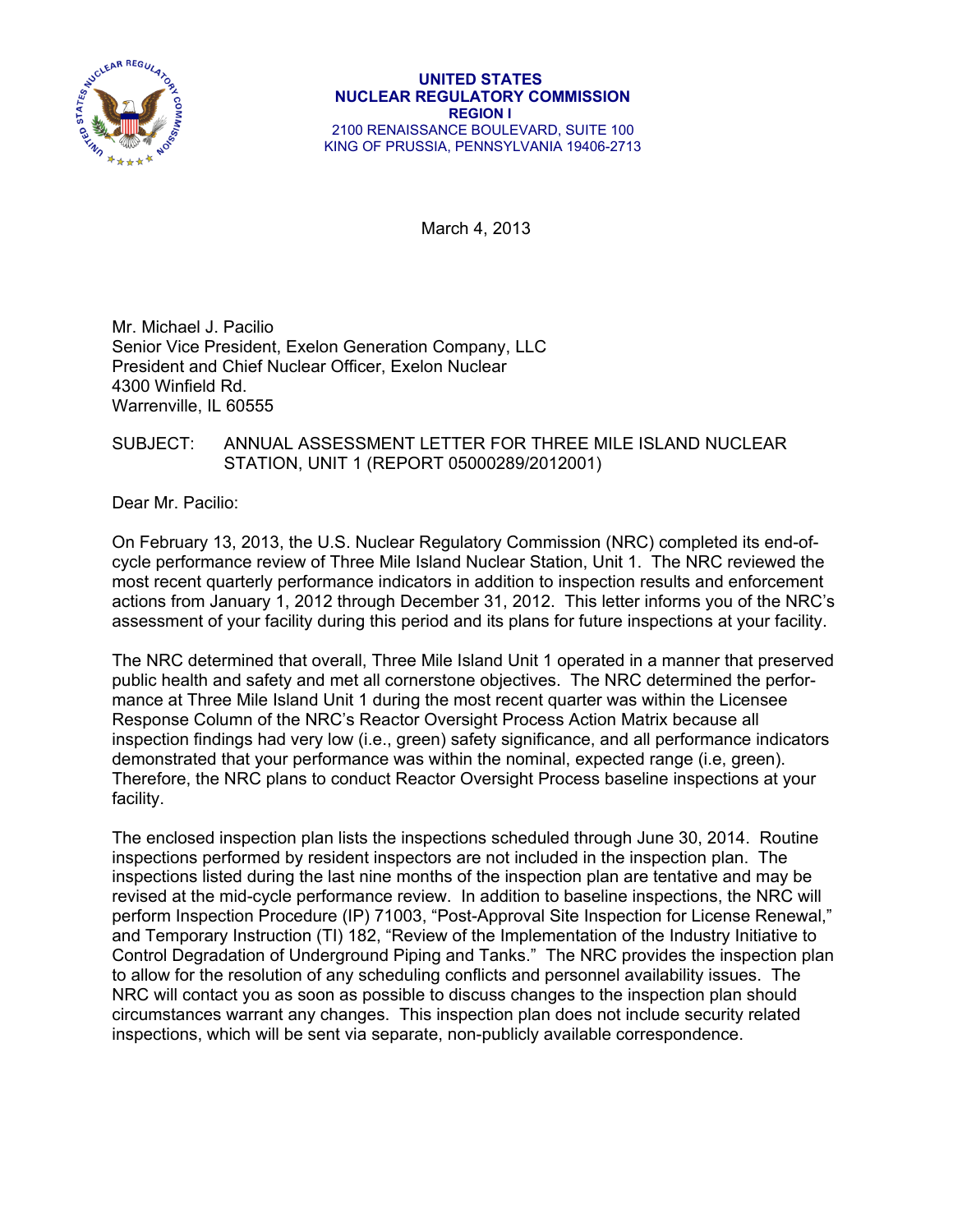

March 4, 2013

Mr. Michael J. Pacilio Senior Vice President, Exelon Generation Company, LLC President and Chief Nuclear Officer, Exelon Nuclear 4300 Winfield Rd. Warrenville, IL 60555

## SUBJECT: ANNUAL ASSESSMENT LETTER FOR THREE MILE ISLAND NUCLEAR STATION, UNIT 1 (REPORT 05000289/2012001)

Dear Mr. Pacilio:

On February 13, 2013, the U.S. Nuclear Regulatory Commission (NRC) completed its end-ofcycle performance review of Three Mile Island Nuclear Station, Unit 1. The NRC reviewed the most recent quarterly performance indicators in addition to inspection results and enforcement actions from January 1, 2012 through December 31, 2012. This letter informs you of the NRC's assessment of your facility during this period and its plans for future inspections at your facility.

The NRC determined that overall, Three Mile Island Unit 1 operated in a manner that preserved public health and safety and met all cornerstone objectives. The NRC determined the performance at Three Mile Island Unit 1 during the most recent quarter was within the Licensee Response Column of the NRC's Reactor Oversight Process Action Matrix because all inspection findings had very low (i.e., green) safety significance, and all performance indicators demonstrated that your performance was within the nominal, expected range (i.e, green). Therefore, the NRC plans to conduct Reactor Oversight Process baseline inspections at your facility.

The enclosed inspection plan lists the inspections scheduled through June 30, 2014. Routine inspections performed by resident inspectors are not included in the inspection plan. The inspections listed during the last nine months of the inspection plan are tentative and may be revised at the mid-cycle performance review. In addition to baseline inspections, the NRC will perform Inspection Procedure (IP) 71003, "Post-Approval Site Inspection for License Renewal," and Temporary Instruction (TI) 182, "Review of the Implementation of the Industry Initiative to Control Degradation of Underground Piping and Tanks." The NRC provides the inspection plan to allow for the resolution of any scheduling conflicts and personnel availability issues. The NRC will contact you as soon as possible to discuss changes to the inspection plan should circumstances warrant any changes. This inspection plan does not include security related inspections, which will be sent via separate, non-publicly available correspondence.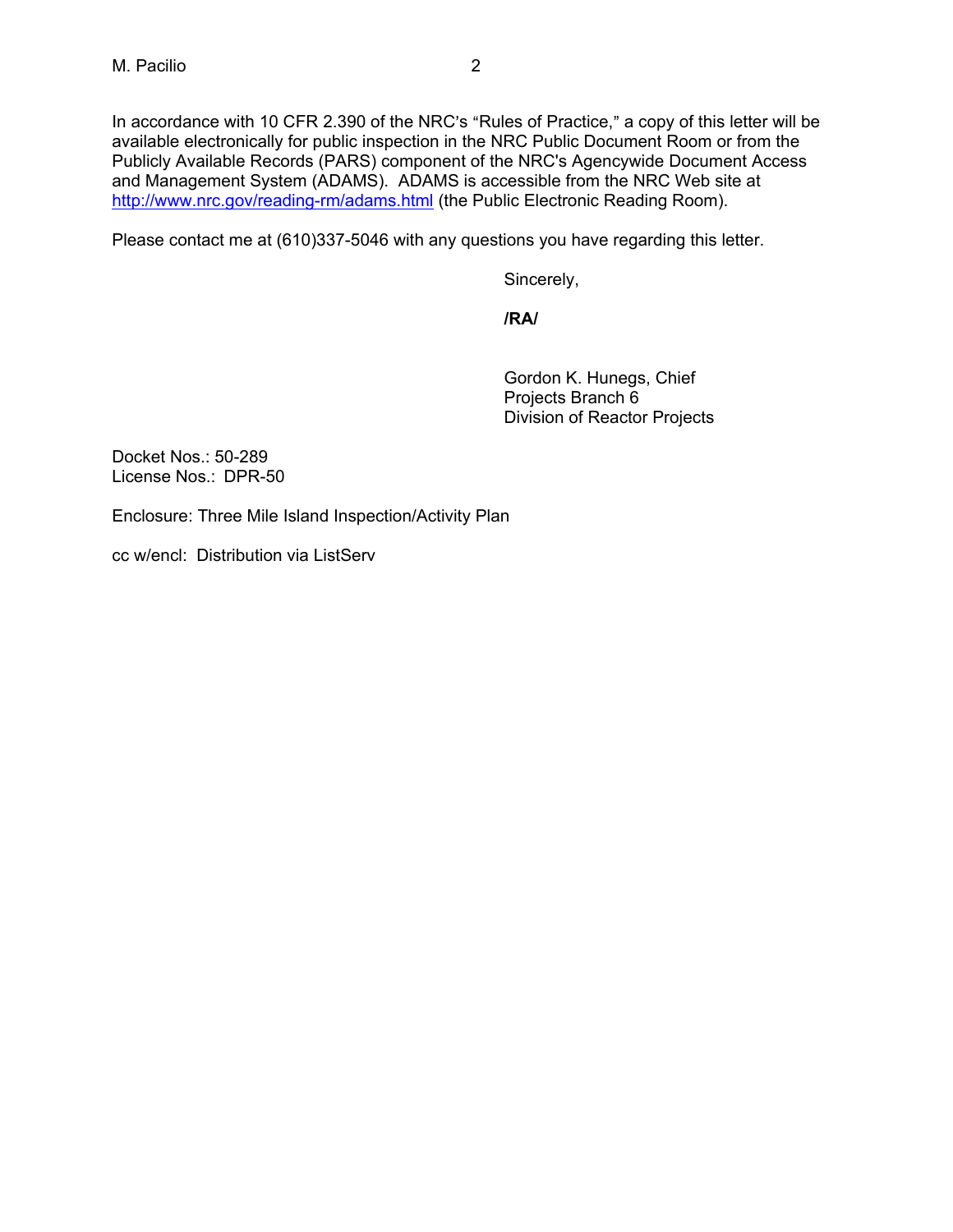In accordance with 10 CFR 2.390 of the NRC's "Rules of Practice," a copy of this letter will be available electronically for public inspection in the NRC Public Document Room or from the Publicly Available Records (PARS) component of the NRC's Agencywide Document Access and Management System (ADAMS). ADAMS is accessible from the NRC Web site at http://www.nrc.gov/reading-rm/adams.html (the Public Electronic Reading Room).

Please contact me at (610)337-5046 with any questions you have regarding this letter.

Sincerely,

**/RA/** 

Gordon K. Hunegs, Chief Projects Branch 6 Division of Reactor Projects

Docket Nos.: 50-289 License Nos.: DPR-50

Enclosure: Three Mile Island Inspection/Activity Plan

cc w/encl: Distribution via ListServ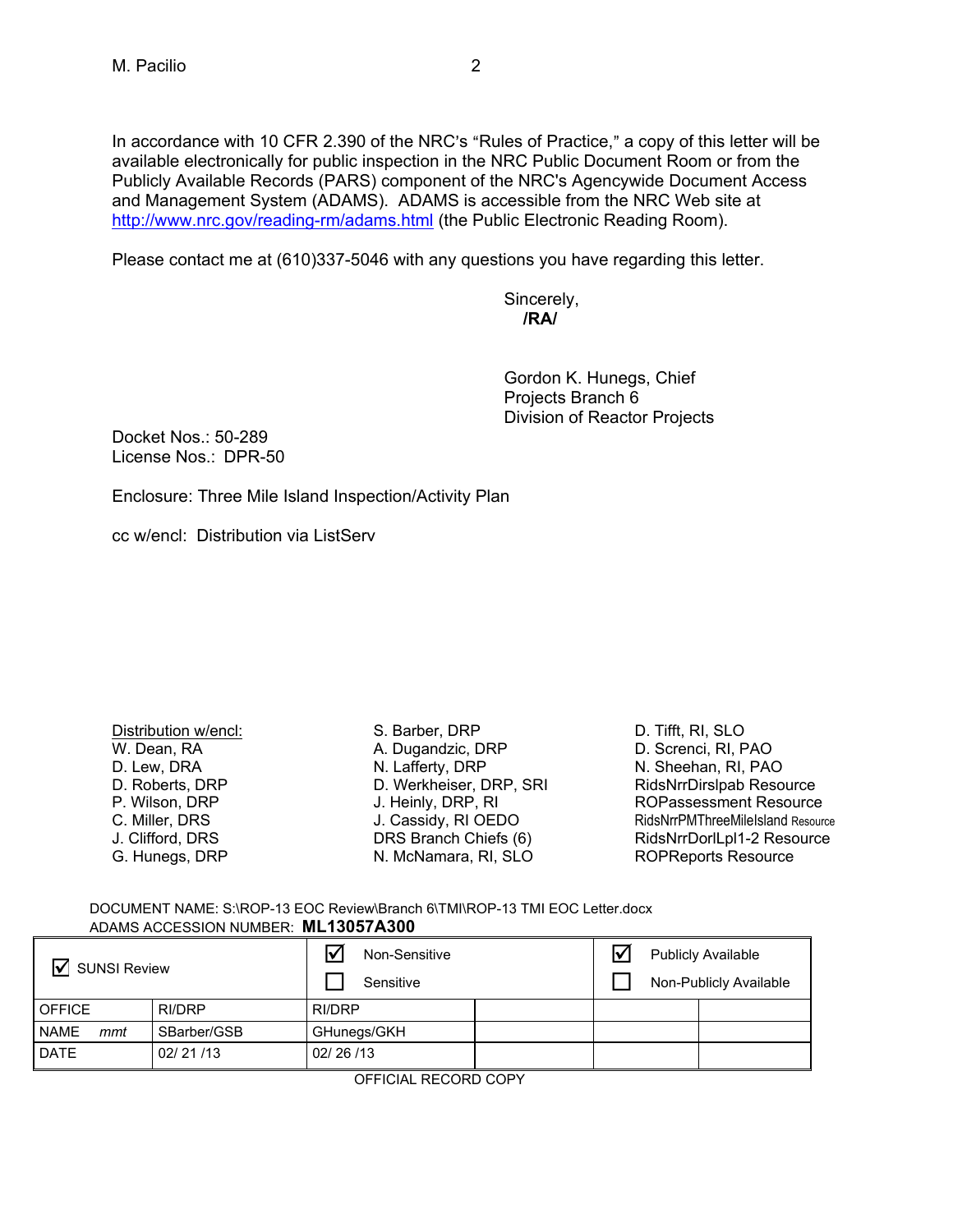In accordance with 10 CFR 2.390 of the NRC's "Rules of Practice," a copy of this letter will be available electronically for public inspection in the NRC Public Document Room or from the Publicly Available Records (PARS) component of the NRC's Agencywide Document Access and Management System (ADAMS). ADAMS is accessible from the NRC Web site at http://www.nrc.gov/reading-rm/adams.html (the Public Electronic Reading Room).

Please contact me at (610)337-5046 with any questions you have regarding this letter.

 Sincerely, **/RA/** 

> Gordon K. Hunegs, Chief Projects Branch 6 Division of Reactor Projects

Docket Nos.: 50-289 License Nos.: DPR-50

Enclosure: Three Mile Island Inspection/Activity Plan

cc w/encl: Distribution via ListServ

Distribution w/encl: W. Dean, RA D. Lew, DRA D. Roberts, DRP P. Wilson, DRP C. Miller, DRS J. Clifford, DRS G. Hunegs, DRP

S. Barber, DRP A. Dugandzic, DRP N. Lafferty, DRP D. Werkheiser, DRP, SRI J. Heinly, DRP, RI J. Cassidy, RI OEDO DRS Branch Chiefs (6) N. McNamara, RI, SLO

D. Tifft, RI, SLO D. Screnci, RI, PAO N. Sheehan, RI, PAO RidsNrrDirslpab Resource ROPassessment Resource RidsNrrPMThreeMileIsland Resource RidsNrrDorlLpl1-2 Resource ROPReports Resource

DOCUMENT NAME: S:\ROP-13 EOC Review\Branch 6\TMI\ROP-13 TMI EOC Letter.docx ADAMS ACCESSION NUMBER: **ML13057A300** 

| <b>SUNSI Review</b> |               | Non-Sensitive<br>l۷<br>Sensitive |  | $\overline{\mathsf{v}}$ | <b>Publicly Available</b><br>Non-Publicly Available |  |
|---------------------|---------------|----------------------------------|--|-------------------------|-----------------------------------------------------|--|
| <b>OFFICE</b>       | <b>RI/DRP</b> | RI/DRP                           |  |                         |                                                     |  |
| <b>NAME</b><br>mmt  | SBarber/GSB   | GHunegs/GKH                      |  |                         |                                                     |  |
| <b>DATE</b>         | 02/21/13      | 02/26/13                         |  |                         |                                                     |  |

OFFICIAL RECORD COPY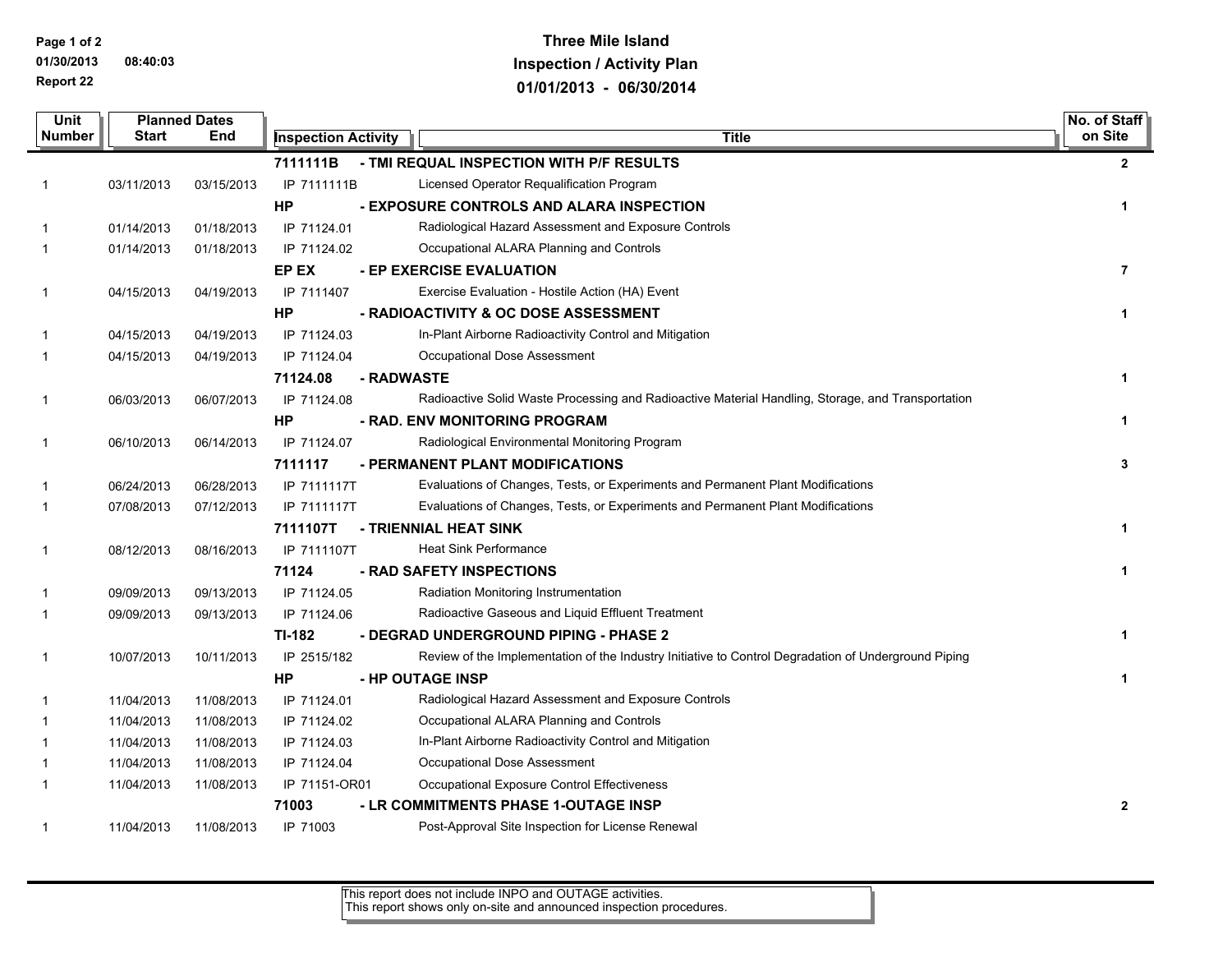**Page 1 of 2**

**01/30/2013 08:40:03 Report 22**

## **Three Mile Island Inspection / Activity Plan 01/01/2013 - 06/30/2014**

| <b>Unit</b>                          |            | <b>Planned Dates</b>       |               |            |                                                                                                      |  | No. of Staff            |
|--------------------------------------|------------|----------------------------|---------------|------------|------------------------------------------------------------------------------------------------------|--|-------------------------|
| <b>Number</b><br><b>Start</b><br>End |            | <b>Inspection Activity</b> | <b>Title</b>  |            | on Site                                                                                              |  |                         |
|                                      |            |                            | 7111111B      |            | - TMI REQUAL INSPECTION WITH P/F RESULTS                                                             |  | 2                       |
| 1                                    | 03/11/2013 | 03/15/2013                 | IP 7111111B   |            | Licensed Operator Requalification Program                                                            |  |                         |
|                                      |            |                            | HP            |            | - EXPOSURE CONTROLS AND ALARA INSPECTION                                                             |  | 1                       |
| 1                                    | 01/14/2013 | 01/18/2013                 | IP 71124.01   |            | Radiological Hazard Assessment and Exposure Controls                                                 |  |                         |
| 1                                    | 01/14/2013 | 01/18/2013                 | IP 71124.02   |            | Occupational ALARA Planning and Controls                                                             |  |                         |
|                                      |            |                            | EP EX         |            | - EP EXERCISE EVALUATION                                                                             |  | $\overline{\mathbf{r}}$ |
| 1                                    | 04/15/2013 | 04/19/2013                 | IP 7111407    |            | Exercise Evaluation - Hostile Action (HA) Event                                                      |  |                         |
|                                      |            |                            | <b>HP</b>     |            | - RADIOACTIVITY & OC DOSE ASSESSMENT                                                                 |  | 1                       |
| 1                                    | 04/15/2013 | 04/19/2013                 | IP 71124.03   |            | In-Plant Airborne Radioactivity Control and Mitigation                                               |  |                         |
| 1                                    | 04/15/2013 | 04/19/2013                 | IP 71124.04   |            | Occupational Dose Assessment                                                                         |  |                         |
|                                      |            |                            | 71124.08      | - RADWASTE |                                                                                                      |  | 1                       |
| 1                                    | 06/03/2013 | 06/07/2013                 | IP 71124.08   |            | Radioactive Solid Waste Processing and Radioactive Material Handling, Storage, and Transportation    |  |                         |
|                                      |            |                            | <b>HP</b>     |            | - RAD. ENV MONITORING PROGRAM                                                                        |  | 1                       |
| 1                                    | 06/10/2013 | 06/14/2013                 | IP 71124.07   |            | Radiological Environmental Monitoring Program                                                        |  |                         |
|                                      |            |                            | 7111117       |            | - PERMANENT PLANT MODIFICATIONS                                                                      |  | 3                       |
| 1                                    | 06/24/2013 | 06/28/2013                 | IP 7111117T   |            | Evaluations of Changes, Tests, or Experiments and Permanent Plant Modifications                      |  |                         |
| 1                                    | 07/08/2013 | 07/12/2013                 | IP 7111117T   |            | Evaluations of Changes, Tests, or Experiments and Permanent Plant Modifications                      |  |                         |
|                                      |            |                            | 7111107T      |            | - TRIENNIAL HEAT SINK                                                                                |  | 1                       |
| 1                                    | 08/12/2013 | 08/16/2013                 | IP 7111107T   |            | <b>Heat Sink Performance</b>                                                                         |  |                         |
|                                      |            |                            | 71124         |            | - RAD SAFETY INSPECTIONS                                                                             |  | 1                       |
| 1                                    | 09/09/2013 | 09/13/2013                 | IP 71124.05   |            | Radiation Monitoring Instrumentation                                                                 |  |                         |
| 1                                    | 09/09/2013 | 09/13/2013                 | IP 71124.06   |            | Radioactive Gaseous and Liquid Effluent Treatment                                                    |  |                         |
|                                      |            |                            | TI-182        |            | - DEGRAD UNDERGROUND PIPING - PHASE 2                                                                |  | 1                       |
| 1                                    | 10/07/2013 | 10/11/2013                 | IP 2515/182   |            | Review of the Implementation of the Industry Initiative to Control Degradation of Underground Piping |  |                         |
|                                      |            |                            | <b>HP</b>     |            | - HP OUTAGE INSP                                                                                     |  | 1                       |
| 1                                    | 11/04/2013 | 11/08/2013                 | IP 71124.01   |            | Radiological Hazard Assessment and Exposure Controls                                                 |  |                         |
| 1                                    | 11/04/2013 | 11/08/2013                 | IP 71124.02   |            | Occupational ALARA Planning and Controls                                                             |  |                         |
| 1                                    | 11/04/2013 | 11/08/2013                 | IP 71124.03   |            | In-Plant Airborne Radioactivity Control and Mitigation                                               |  |                         |
| 1                                    | 11/04/2013 | 11/08/2013                 | IP 71124.04   |            | Occupational Dose Assessment                                                                         |  |                         |
| 1                                    | 11/04/2013 | 11/08/2013                 | IP 71151-OR01 |            | Occupational Exposure Control Effectiveness                                                          |  |                         |
|                                      |            |                            | 71003         |            | - LR COMMITMENTS PHASE 1-OUTAGE INSP                                                                 |  | $\mathbf{2}$            |
| 1                                    | 11/04/2013 | 11/08/2013                 | IP 71003      |            | Post-Approval Site Inspection for License Renewal                                                    |  |                         |

This report does not include INPO and OUTAGE activities. This report shows only on-site and announced inspection procedures.